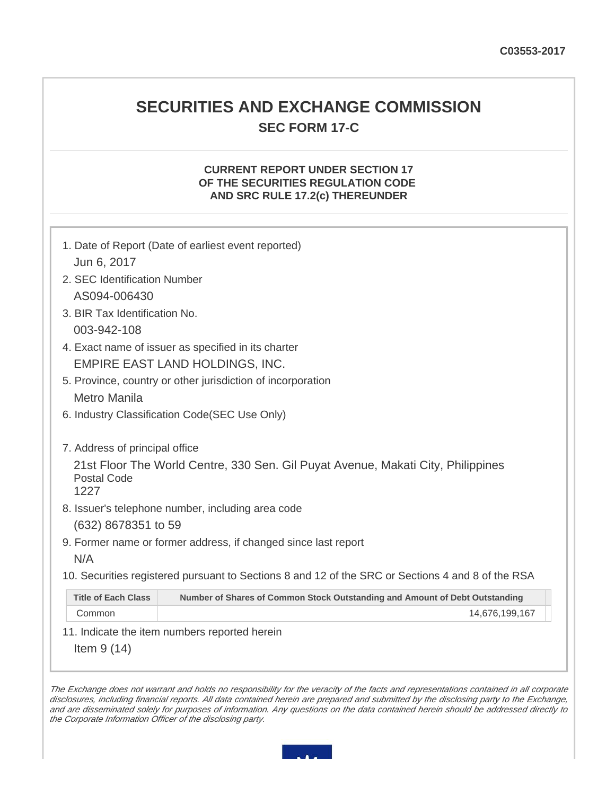## **SECURITIES AND EXCHANGE COMMISSION SEC FORM 17-C**

## **CURRENT REPORT UNDER SECTION 17 OF THE SECURITIES REGULATION CODE AND SRC RULE 17.2(c) THEREUNDER**

|                                                     | 1. Date of Report (Date of earliest event reported)                                               |  |  |  |
|-----------------------------------------------------|---------------------------------------------------------------------------------------------------|--|--|--|
| Jun 6, 2017                                         |                                                                                                   |  |  |  |
| 2. SEC Identification Number                        |                                                                                                   |  |  |  |
| AS094-006430                                        |                                                                                                   |  |  |  |
| 3. BIR Tax Identification No.                       |                                                                                                   |  |  |  |
| 003-942-108                                         |                                                                                                   |  |  |  |
| 4. Exact name of issuer as specified in its charter |                                                                                                   |  |  |  |
|                                                     | EMPIRE EAST LAND HOLDINGS, INC.                                                                   |  |  |  |
|                                                     | 5. Province, country or other jurisdiction of incorporation                                       |  |  |  |
| Metro Manila                                        |                                                                                                   |  |  |  |
|                                                     | 6. Industry Classification Code (SEC Use Only)                                                    |  |  |  |
| 7. Address of principal office                      |                                                                                                   |  |  |  |
| <b>Postal Code</b><br>1227                          | 21st Floor The World Centre, 330 Sen. Gil Puyat Avenue, Makati City, Philippines                  |  |  |  |
|                                                     | 8. Issuer's telephone number, including area code                                                 |  |  |  |
| (632) 8678351 to 59                                 |                                                                                                   |  |  |  |
|                                                     | 9. Former name or former address, if changed since last report                                    |  |  |  |
| N/A                                                 |                                                                                                   |  |  |  |
|                                                     | 10. Securities registered pursuant to Sections 8 and 12 of the SRC or Sections 4 and 8 of the RSA |  |  |  |
| <b>Title of Each Class</b>                          | Number of Shares of Common Stock Outstanding and Amount of Debt Outstanding                       |  |  |  |
|                                                     |                                                                                                   |  |  |  |

11. Indicate the item numbers reported herein

Item 9 (14)

The Exchange does not warrant and holds no responsibility for the veracity of the facts and representations contained in all corporate disclosures, including financial reports. All data contained herein are prepared and submitted by the disclosing party to the Exchange, and are disseminated solely for purposes of information. Any questions on the data contained herein should be addressed directly to the Corporate Information Officer of the disclosing party.

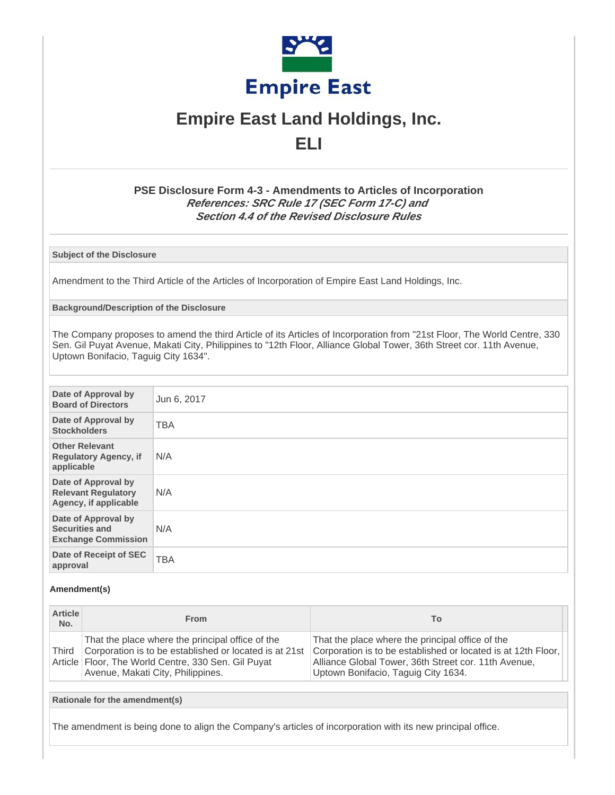

# **Empire East Land Holdings, Inc. ELI**

## **PSE Disclosure Form 4-3 - Amendments to Articles of Incorporation References: SRC Rule 17 (SEC Form 17-C) and Section 4.4 of the Revised Disclosure Rules**

**Subject of the Disclosure**

Amendment to the Third Article of the Articles of Incorporation of Empire East Land Holdings, Inc.

#### **Background/Description of the Disclosure**

The Company proposes to amend the third Article of its Articles of Incorporation from "21st Floor, The World Centre, 330 Sen. Gil Puyat Avenue, Makati City, Philippines to "12th Floor, Alliance Global Tower, 36th Street cor. 11th Avenue, Uptown Bonifacio, Taguig City 1634".

| Date of Approval by<br><b>Board of Directors</b>                           | Jun 6, 2017 |
|----------------------------------------------------------------------------|-------------|
| Date of Approval by<br><b>Stockholders</b>                                 | <b>TBA</b>  |
| <b>Other Relevant</b><br><b>Regulatory Agency, if</b><br>applicable        | N/A         |
| Date of Approval by<br><b>Relevant Regulatory</b><br>Agency, if applicable | N/A         |
| Date of Approval by<br><b>Securities and</b><br><b>Exchange Commission</b> | N/A         |
| Date of Receipt of SEC<br>approval                                         | <b>TBA</b>  |

#### **Amendment(s)**

| <b>Article</b><br>No. | <b>From</b>                                                                                                                                                                                              | Τo                                                                                                                                                                                                               |
|-----------------------|----------------------------------------------------------------------------------------------------------------------------------------------------------------------------------------------------------|------------------------------------------------------------------------------------------------------------------------------------------------------------------------------------------------------------------|
| Third                 | That the place where the principal office of the<br>Corporation is to be established or located is at 21st<br>Article   Floor, The World Centre, 330 Sen. Gil Puyat<br>Avenue, Makati City, Philippines. | That the place where the principal office of the<br>Corporation is to be established or located is at 12th Floor,<br>Alliance Global Tower, 36th Street cor. 11th Avenue,<br>Uptown Bonifacio, Taguig City 1634. |

**Rationale for the amendment(s)**

The amendment is being done to align the Company's articles of incorporation with its new principal office.